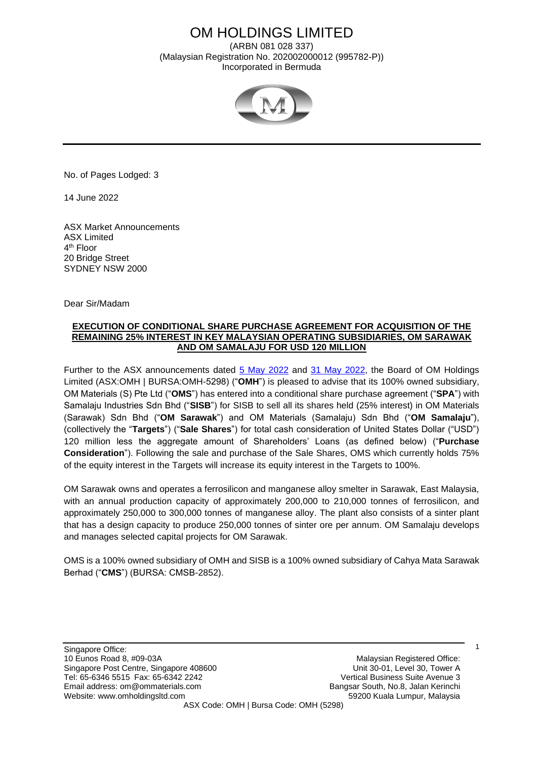# OM HOLDINGS LIMITED

(ARBN 081 028 337) (Malaysian Registration No. 202002000012 (995782-P)) Incorporated in Bermuda



No. of Pages Lodged: 3

14 June 2022

ASX Market Announcements ASX Limited 4<sup>th</sup> Floor 20 Bridge Street SYDNEY NSW 2000

Dear Sir/Madam

## **EXECUTION OF CONDITIONAL SHARE PURCHASE AGREEMENT FOR ACQUISITION OF THE REMAINING 25% INTEREST IN KEY MALAYSIAN OPERATING SUBSIDIARIES, OM SARAWAK AND OM SAMALAJU FOR USD 120 MILLION**

Further to the ASX announcements dated [5 May 2022](http://www.omholdingsltd.com/wp-content/uploads/2022/05/2022.05.05-ASX-OMH-USD120M-Offer-to-Acquire-25-Interest-in-Malaysian-Entities.pdf) and [31 May 2022,](http://www.omholdingsltd.com/wp-content/uploads/2022/05/2022-05-31-ASX-OMH-Extension-to-Offer-to-Acquire-25-Interest-in-Malaysia.pdf) the Board of OM Holdings Limited (ASX:OMH | BURSA:OMH-5298) ("**OMH**") is pleased to advise that its 100% owned subsidiary, OM Materials (S) Pte Ltd ("**OMS**") has entered into a conditional share purchase agreement ("**SPA**") with Samalaju Industries Sdn Bhd ("**SISB**") for SISB to sell all its shares held (25% interest) in OM Materials (Sarawak) Sdn Bhd ("**OM Sarawak**") and OM Materials (Samalaju) Sdn Bhd ("**OM Samalaju**"), (collectively the "**Targets**") ("**Sale Shares**") for total cash consideration of United States Dollar ("USD") 120 million less the aggregate amount of Shareholders' Loans (as defined below) ("**Purchase Consideration**"). Following the sale and purchase of the Sale Shares, OMS which currently holds 75% of the equity interest in the Targets will increase its equity interest in the Targets to 100%.

OM Sarawak owns and operates a ferrosilicon and manganese alloy smelter in Sarawak, East Malaysia, with an annual production capacity of approximately 200,000 to 210,000 tonnes of ferrosilicon, and approximately 250,000 to 300,000 tonnes of manganese alloy. The plant also consists of a sinter plant that has a design capacity to produce 250,000 tonnes of sinter ore per annum. OM Samalaju develops and manages selected capital projects for OM Sarawak.

OMS is a 100% owned subsidiary of OMH and SISB is a 100% owned subsidiary of Cahya Mata Sarawak Berhad ("**CMS**") (BURSA: CMSB-2852).

Singapore Office: 10 Eunos Road 8, #09-03A Malaysian Registered Office: Singapore Post Centre, Singapore 408600 Unit 30-01, Level 30, Tower A Tel: 65-6346 5515 Fax: 65-6342 2242 Vertical Business Suite Avenue 3 Email address: om@ommaterials.com Bangsar South, No.8, Jalan Kerinchi Website: www.omholdingsltd.com 59200 Kuala Lumpur, Malaysia ASX Code: OMH | Bursa Code: OMH (5298)

1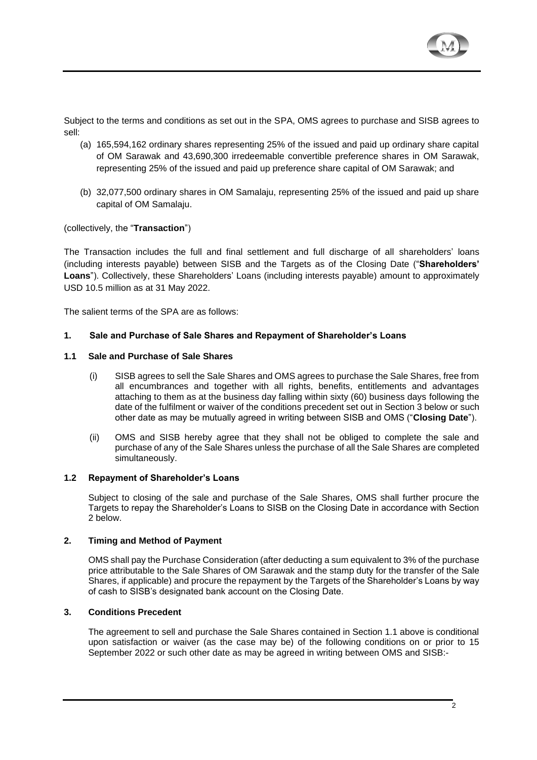

Subject to the terms and conditions as set out in the SPA, OMS agrees to purchase and SISB agrees to sell:

- (a) 165,594,162 ordinary shares representing 25% of the issued and paid up ordinary share capital of OM Sarawak and 43,690,300 irredeemable convertible preference shares in OM Sarawak, representing 25% of the issued and paid up preference share capital of OM Sarawak; and
- (b) 32,077,500 ordinary shares in OM Samalaju, representing 25% of the issued and paid up share capital of OM Samalaju.

## (collectively, the "**Transaction**")

The Transaction includes the full and final settlement and full discharge of all shareholders' loans (including interests payable) between SISB and the Targets as of the Closing Date ("**Shareholders' Loans**"). Collectively, these Shareholders' Loans (including interests payable) amount to approximately USD 10.5 million as at 31 May 2022.

The salient terms of the SPA are as follows:

## **1. Sale and Purchase of Sale Shares and Repayment of Shareholder's Loans**

#### **1.1 Sale and Purchase of Sale Shares**

- (i) SISB agrees to sell the Sale Shares and OMS agrees to purchase the Sale Shares, free from all encumbrances and together with all rights, benefits, entitlements and advantages attaching to them as at the business day falling within sixty (60) business days following the date of the fulfilment or waiver of the conditions precedent set out in Section 3 below or such other date as may be mutually agreed in writing between SISB and OMS ("**Closing Date**").
- (ii) OMS and SISB hereby agree that they shall not be obliged to complete the sale and purchase of any of the Sale Shares unless the purchase of all the Sale Shares are completed simultaneously.

#### **1.2 Repayment of Shareholder's Loans**

Subject to closing of the sale and purchase of the Sale Shares, OMS shall further procure the Targets to repay the Shareholder's Loans to SISB on the Closing Date in accordance with Section 2 below.

#### **2. Timing and Method of Payment**

OMS shall pay the Purchase Consideration (after deducting a sum equivalent to 3% of the purchase price attributable to the Sale Shares of OM Sarawak and the stamp duty for the transfer of the Sale Shares, if applicable) and procure the repayment by the Targets of the Shareholder's Loans by way of cash to SISB's designated bank account on the Closing Date.

# **3. Conditions Precedent**

The agreement to sell and purchase the Sale Shares contained in Section 1.1 above is conditional upon satisfaction or waiver (as the case may be) of the following conditions on or prior to 15 September 2022 or such other date as may be agreed in writing between OMS and SISB:-